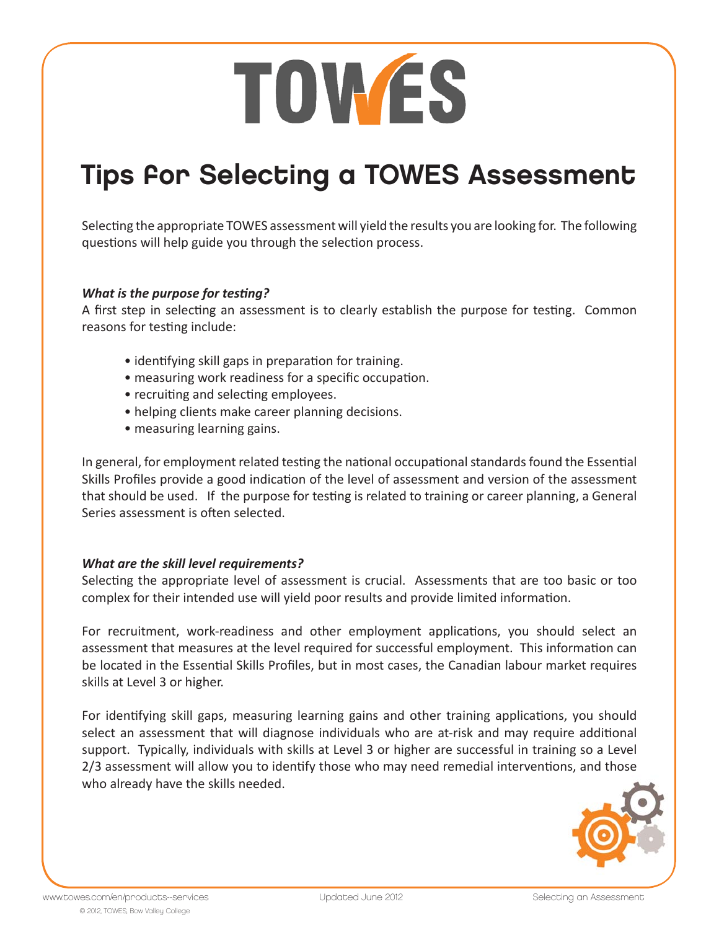# TOWES

### Tips for Selecting a TOWES Assessment

Selecting the appropriate TOWES assessment will yield the results you are looking for. The following questions will help guide you through the selection process.

#### *What is the purpose for testing?*

A first step in selecting an assessment is to clearly establish the purpose for testing. Common reasons for testing include:

- identifying skill gaps in preparation for training.
- measuring work readiness for a specific occupation.
- recruiting and selecting employees.
- helping clients make career planning decisions.
- measuring learning gains.

In general, for employment related testing the national occupational standards found the Essential Skills Profiles provide a good indication of the level of assessment and version of the assessment that should be used. If the purpose for testing is related to training or career planning, a General Series assessment is often selected.

#### *What are the skill level requirements?*

Selecting the appropriate level of assessment is crucial. Assessments that are too basic or too complex for their intended use will yield poor results and provide limited information.

For recruitment, work-readiness and other employment applications, you should select an assessment that measures at the level required for successful employment. This information can be located in the Essential Skills Profiles, but in most cases, the Canadian labour market requires skills at Level 3 or higher.

For identifying skill gaps, measuring learning gains and other training applications, you should select an assessment that will diagnose individuals who are at-risk and may require additional support. Typically, individuals with skills at Level 3 or higher are successful in training so a Level 2/3 assessment will allow you to identify those who may need remedial interventions, and those who already have the skills needed.